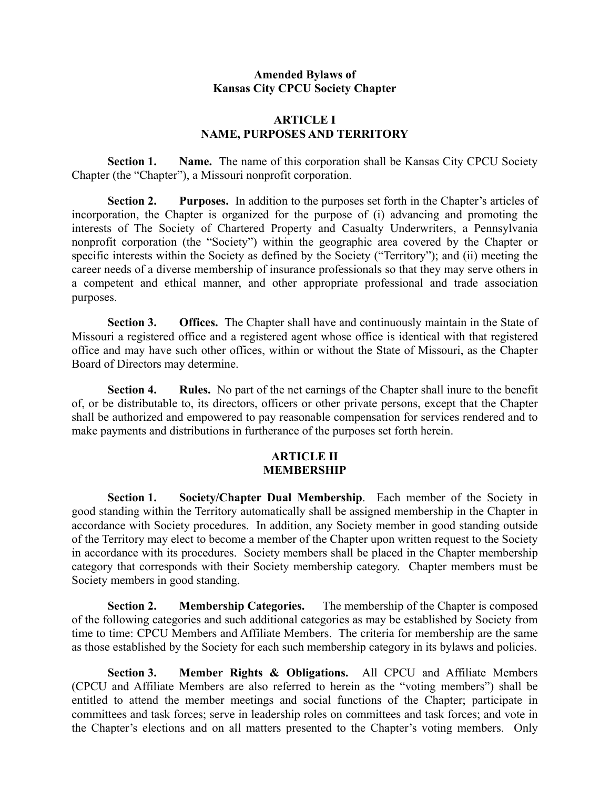# **Amended Bylaws of Kansas City CPCU Society Chapter**

# **ARTICLE I NAME, PURPOSES AND TERRITORY**

**Section 1. Name.** The name of this corporation shall be Kansas City CPCU Society Chapter (the "Chapter"), a Missouri nonprofit corporation.

**Section 2. Purposes.** In addition to the purposes set forth in the Chapter's articles of incorporation, the Chapter is organized for the purpose of (i) advancing and promoting the interests of The Society of Chartered Property and Casualty Underwriters, a Pennsylvania nonprofit corporation (the "Society") within the geographic area covered by the Chapter or specific interests within the Society as defined by the Society ("Territory"); and (ii) meeting the career needs of a diverse membership of insurance professionals so that they may serve others in a competent and ethical manner, and other appropriate professional and trade association purposes.

**Section 3. Offices.** The Chapter shall have and continuously maintain in the State of Missouri a registered office and a registered agent whose office is identical with that registered office and may have such other offices, within or without the State of Missouri, as the Chapter Board of Directors may determine.

**Section 4. Rules.** No part of the net earnings of the Chapter shall inure to the benefit of, or be distributable to, its directors, officers or other private persons, except that the Chapter shall be authorized and empowered to pay reasonable compensation for services rendered and to make payments and distributions in furtherance of the purposes set forth herein.

# **ARTICLE II MEMBERSHIP**

**Section 1. Society/Chapter Dual Membership**. Each member of the Society in good standing within the Territory automatically shall be assigned membership in the Chapter in accordance with Society procedures. In addition, any Society member in good standing outside of the Territory may elect to become a member of the Chapter upon written request to the Society in accordance with its procedures. Society members shall be placed in the Chapter membership category that corresponds with their Society membership category. Chapter members must be Society members in good standing.

**Section 2. Membership Categories.** The membership of the Chapter is composed of the following categories and such additional categories as may be established by Society from time to time: CPCU Members and Affiliate Members. The criteria for membership are the same as those established by the Society for each such membership category in its bylaws and policies.

**Section 3. Member Rights & Obligations.** All CPCU and Affiliate Members (CPCU and Affiliate Members are also referred to herein as the "voting members") shall be entitled to attend the member meetings and social functions of the Chapter; participate in committees and task forces; serve in leadership roles on committees and task forces; and vote in the Chapter's elections and on all matters presented to the Chapter's voting members. Only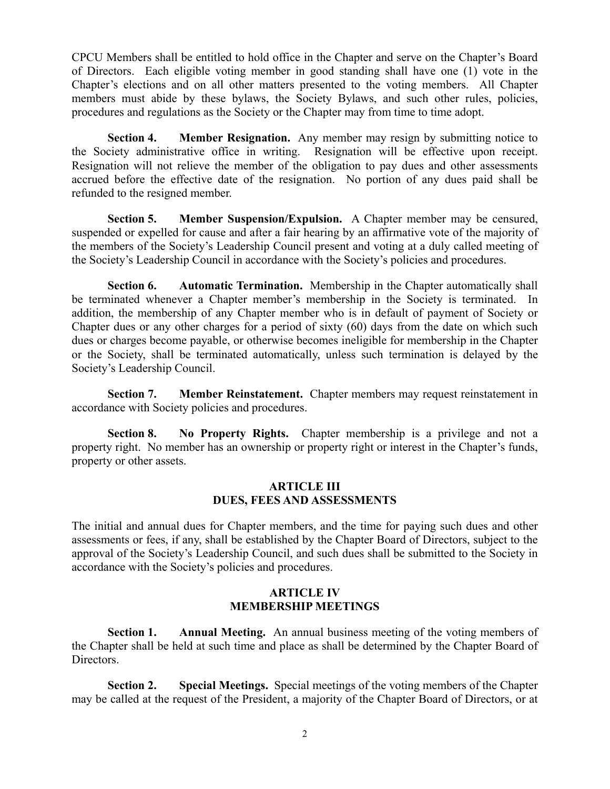CPCU Members shall be entitled to hold office in the Chapter and serve on the Chapter's Board of Directors. Each eligible voting member in good standing shall have one (1) vote in the Chapter's elections and on all other matters presented to the voting members. All Chapter members must abide by these bylaws, the Society Bylaws, and such other rules, policies, procedures and regulations as the Society or the Chapter may from time to time adopt.

**Section 4. Member Resignation.** Any member may resign by submitting notice to the Society administrative office in writing. Resignation will be effective upon receipt. Resignation will not relieve the member of the obligation to pay dues and other assessments accrued before the effective date of the resignation. No portion of any dues paid shall be refunded to the resigned member.

**Section 5. Member Suspension/Expulsion.** A Chapter member may be censured, suspended or expelled for cause and after a fair hearing by an affirmative vote of the majority of the members of the Society's Leadership Council present and voting at a duly called meeting of the Society's Leadership Council in accordance with the Society's policies and procedures.

**Section 6. Automatic Termination.** Membership in the Chapter automatically shall be terminated whenever a Chapter member's membership in the Society is terminated. In addition, the membership of any Chapter member who is in default of payment of Society or Chapter dues or any other charges for a period of sixty (60) days from the date on which such dues or charges become payable, or otherwise becomes ineligible for membership in the Chapter or the Society, shall be terminated automatically, unless such termination is delayed by the Society's Leadership Council.

**Section 7. Member Reinstatement.** Chapter members may request reinstatement in accordance with Society policies and procedures.

**Section 8. No Property Rights.** Chapter membership is a privilege and not a property right. No member has an ownership or property right or interest in the Chapter's funds, property or other assets.

#### **ARTICLE III DUES, FEES AND ASSESSMENTS**

The initial and annual dues for Chapter members, and the time for paying such dues and other assessments or fees, if any, shall be established by the Chapter Board of Directors, subject to the approval of the Society's Leadership Council, and such dues shall be submitted to the Society in accordance with the Society's policies and procedures.

### **ARTICLE IV MEMBERSHIP MEETINGS**

**Section 1. Annual Meeting.** An annual business meeting of the voting members of the Chapter shall be held at such time and place as shall be determined by the Chapter Board of Directors.

**Section 2. Special Meetings.** Special meetings of the voting members of the Chapter may be called at the request of the President, a majority of the Chapter Board of Directors, or at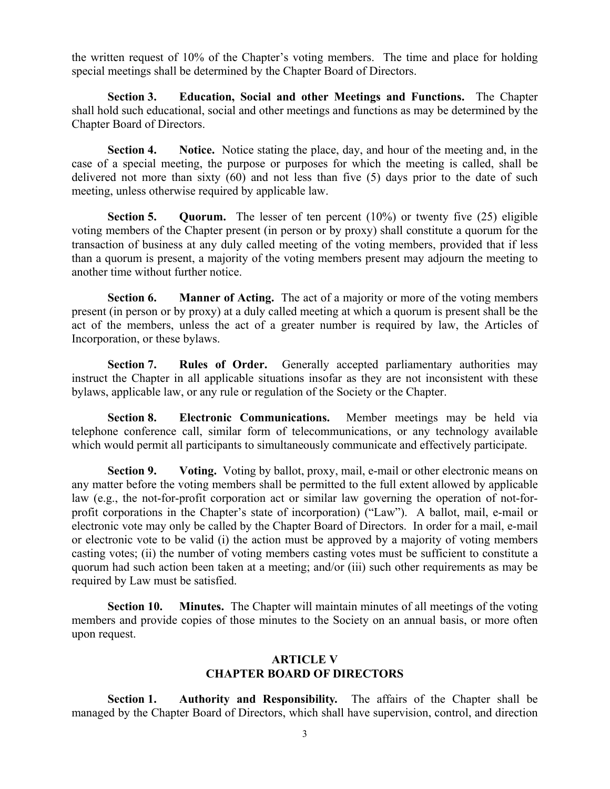the written request of 10% of the Chapter's voting members. The time and place for holding special meetings shall be determined by the Chapter Board of Directors.

**Section 3. Education, Social and other Meetings and Functions.** The Chapter shall hold such educational, social and other meetings and functions as may be determined by the Chapter Board of Directors.

**Section 4. Notice.** Notice stating the place, day, and hour of the meeting and, in the case of a special meeting, the purpose or purposes for which the meeting is called, shall be delivered not more than sixty (60) and not less than five (5) days prior to the date of such meeting, unless otherwise required by applicable law.

**Section 5. Quorum.** The lesser of ten percent (10%) or twenty five (25) eligible voting members of the Chapter present (in person or by proxy) shall constitute a quorum for the transaction of business at any duly called meeting of the voting members, provided that if less than a quorum is present, a majority of the voting members present may adjourn the meeting to another time without further notice.

**Section 6. Manner of Acting.** The act of a majority or more of the voting members present (in person or by proxy) at a duly called meeting at which a quorum is present shall be the act of the members, unless the act of a greater number is required by law, the Articles of Incorporation, or these bylaws.

**Section 7. Rules of Order.** Generally accepted parliamentary authorities may instruct the Chapter in all applicable situations insofar as they are not inconsistent with these bylaws, applicable law, or any rule or regulation of the Society or the Chapter.

**Section 8. Electronic Communications.** Member meetings may be held via telephone conference call, similar form of telecommunications, or any technology available which would permit all participants to simultaneously communicate and effectively participate.

**Section 9. Voting.** Voting by ballot, proxy, mail, e-mail or other electronic means on any matter before the voting members shall be permitted to the full extent allowed by applicable law (e.g., the not-for-profit corporation act or similar law governing the operation of not-forprofit corporations in the Chapter's state of incorporation) ("Law"). A ballot, mail, e-mail or electronic vote may only be called by the Chapter Board of Directors. In order for a mail, e-mail or electronic vote to be valid (i) the action must be approved by a majority of voting members casting votes; (ii) the number of voting members casting votes must be sufficient to constitute a quorum had such action been taken at a meeting; and/or (iii) such other requirements as may be required by Law must be satisfied.

**Section 10. Minutes.** The Chapter will maintain minutes of all meetings of the voting members and provide copies of those minutes to the Society on an annual basis, or more often upon request.

### **ARTICLE V CHAPTER BOARD OF DIRECTORS**

**Section 1. Authority and Responsibility.** The affairs of the Chapter shall be managed by the Chapter Board of Directors, which shall have supervision, control, and direction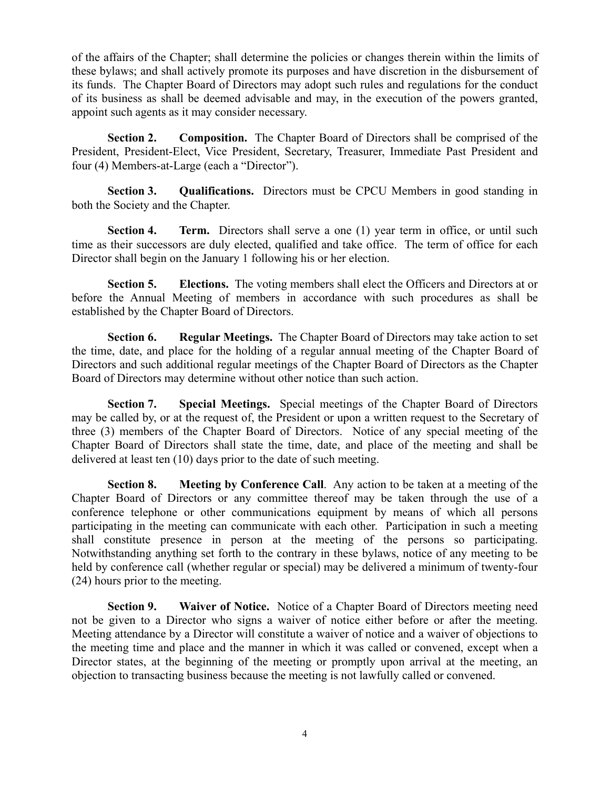of the affairs of the Chapter; shall determine the policies or changes therein within the limits of these bylaws; and shall actively promote its purposes and have discretion in the disbursement of its funds. The Chapter Board of Directors may adopt such rules and regulations for the conduct of its business as shall be deemed advisable and may, in the execution of the powers granted, appoint such agents as it may consider necessary.

**Section 2. Composition.** The Chapter Board of Directors shall be comprised of the President, President-Elect, Vice President, Secretary, Treasurer, Immediate Past President and four (4) Members-at-Large (each a "Director").

**Section 3. Qualifications.** Directors must be CPCU Members in good standing in both the Society and the Chapter.

**Section 4. Term.** Directors shall serve a one (1) year term in office, or until such time as their successors are duly elected, qualified and take office. The term of office for each Director shall begin on the January 1 following his or her election.

**Section 5. Elections.** The voting members shall elect the Officers and Directors at or before the Annual Meeting of members in accordance with such procedures as shall be established by the Chapter Board of Directors.

**Section 6. Regular Meetings.** The Chapter Board of Directors may take action to set the time, date, and place for the holding of a regular annual meeting of the Chapter Board of Directors and such additional regular meetings of the Chapter Board of Directors as the Chapter Board of Directors may determine without other notice than such action.

**Section 7. Special Meetings.** Special meetings of the Chapter Board of Directors may be called by, or at the request of, the President or upon a written request to the Secretary of three (3) members of the Chapter Board of Directors. Notice of any special meeting of the Chapter Board of Directors shall state the time, date, and place of the meeting and shall be delivered at least ten (10) days prior to the date of such meeting.

**Section 8. Meeting by Conference Call**. Any action to be taken at a meeting of the Chapter Board of Directors or any committee thereof may be taken through the use of a conference telephone or other communications equipment by means of which all persons participating in the meeting can communicate with each other. Participation in such a meeting shall constitute presence in person at the meeting of the persons so participating. Notwithstanding anything set forth to the contrary in these bylaws, notice of any meeting to be held by conference call (whether regular or special) may be delivered a minimum of twenty-four (24) hours prior to the meeting.

**Section 9. Waiver of Notice.** Notice of a Chapter Board of Directors meeting need not be given to a Director who signs a waiver of notice either before or after the meeting. Meeting attendance by a Director will constitute a waiver of notice and a waiver of objections to the meeting time and place and the manner in which it was called or convened, except when a Director states, at the beginning of the meeting or promptly upon arrival at the meeting, an objection to transacting business because the meeting is not lawfully called or convened.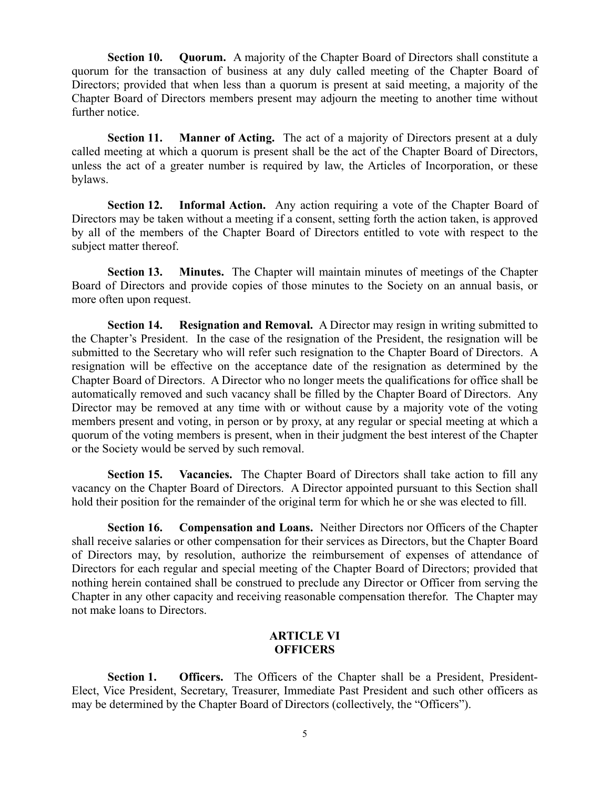**Section 10. Quorum.** A majority of the Chapter Board of Directors shall constitute a quorum for the transaction of business at any duly called meeting of the Chapter Board of Directors; provided that when less than a quorum is present at said meeting, a majority of the Chapter Board of Directors members present may adjourn the meeting to another time without further notice.

**Section 11. Manner of Acting.** The act of a majority of Directors present at a duly called meeting at which a quorum is present shall be the act of the Chapter Board of Directors, unless the act of a greater number is required by law, the Articles of Incorporation, or these bylaws.

**Section 12. Informal Action.** Any action requiring a vote of the Chapter Board of Directors may be taken without a meeting if a consent, setting forth the action taken, is approved by all of the members of the Chapter Board of Directors entitled to vote with respect to the subject matter thereof.

**Section 13. Minutes.** The Chapter will maintain minutes of meetings of the Chapter Board of Directors and provide copies of those minutes to the Society on an annual basis, or more often upon request.

**Section 14. Resignation and Removal.** A Director may resign in writing submitted to the Chapter's President. In the case of the resignation of the President, the resignation will be submitted to the Secretary who will refer such resignation to the Chapter Board of Directors. A resignation will be effective on the acceptance date of the resignation as determined by the Chapter Board of Directors. A Director who no longer meets the qualifications for office shall be automatically removed and such vacancy shall be filled by the Chapter Board of Directors. Any Director may be removed at any time with or without cause by a majority vote of the voting members present and voting, in person or by proxy, at any regular or special meeting at which a quorum of the voting members is present, when in their judgment the best interest of the Chapter or the Society would be served by such removal.

**Section 15. Vacancies.** The Chapter Board of Directors shall take action to fill any vacancy on the Chapter Board of Directors. A Director appointed pursuant to this Section shall hold their position for the remainder of the original term for which he or she was elected to fill.

**Section 16. Compensation and Loans.** Neither Directors nor Officers of the Chapter shall receive salaries or other compensation for their services as Directors, but the Chapter Board of Directors may, by resolution, authorize the reimbursement of expenses of attendance of Directors for each regular and special meeting of the Chapter Board of Directors; provided that nothing herein contained shall be construed to preclude any Director or Officer from serving the Chapter in any other capacity and receiving reasonable compensation therefor. The Chapter may not make loans to Directors.

# **ARTICLE VI OFFICERS**

**Section 1. Officers.** The Officers of the Chapter shall be a President, President-Elect, Vice President, Secretary, Treasurer, Immediate Past President and such other officers as may be determined by the Chapter Board of Directors (collectively, the "Officers").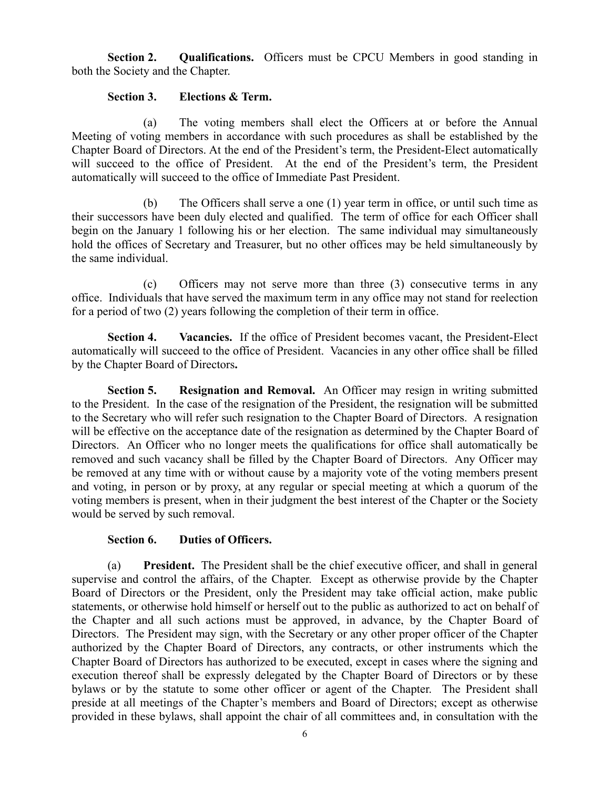**Section 2. Qualifications.** Officers must be CPCU Members in good standing in both the Society and the Chapter.

### **Section 3. Elections & Term.**

(a) The voting members shall elect the Officers at or before the Annual Meeting of voting members in accordance with such procedures as shall be established by the Chapter Board of Directors. At the end of the President's term, the President-Elect automatically will succeed to the office of President.At the end of the President's term, the President automatically will succeed to the office of Immediate Past President.

(b) The Officers shall serve a one (1) year term in office, or until such time as their successors have been duly elected and qualified. The term of office for each Officer shall begin on the January 1 following his or her election. The same individual may simultaneously hold the offices of Secretary and Treasurer, but no other offices may be held simultaneously by the same individual.

(c) Officers may not serve more than three (3) consecutive terms in any office. Individuals that have served the maximum term in any office may not stand for reelection for a period of two (2) years following the completion of their term in office.

**Section 4. Vacancies.** If the office of President becomes vacant, the President-Elect automatically will succeed to the office of President. Vacancies in any other office shall be filled by the Chapter Board of Directors**.** 

**Section 5. Resignation and Removal.** An Officer may resign in writing submitted to the President. In the case of the resignation of the President, the resignation will be submitted to the Secretary who will refer such resignation to the Chapter Board of Directors.A resignation will be effective on the acceptance date of the resignation as determined by the Chapter Board of Directors. An Officer who no longer meets the qualifications for office shall automatically be removed and such vacancy shall be filled by the Chapter Board of Directors. Any Officer may be removed at any time with or without cause by a majority vote of the voting members present and voting, in person or by proxy, at any regular or special meeting at which a quorum of the voting members is present, when in their judgment the best interest of the Chapter or the Society would be served by such removal.

### **Section 6. Duties of Officers.**

(a) **President.** The President shall be the chief executive officer, and shall in general supervise and control the affairs, of the Chapter. Except as otherwise provide by the Chapter Board of Directors or the President, only the President may take official action, make public statements, or otherwise hold himself or herself out to the public as authorized to act on behalf of the Chapter and all such actions must be approved, in advance, by the Chapter Board of Directors. The President may sign, with the Secretary or any other proper officer of the Chapter authorized by the Chapter Board of Directors, any contracts, or other instruments which the Chapter Board of Directors has authorized to be executed, except in cases where the signing and execution thereof shall be expressly delegated by the Chapter Board of Directors or by these bylaws or by the statute to some other officer or agent of the Chapter. The President shall preside at all meetings of the Chapter's members and Board of Directors; except as otherwise provided in these bylaws, shall appoint the chair of all committees and, in consultation with the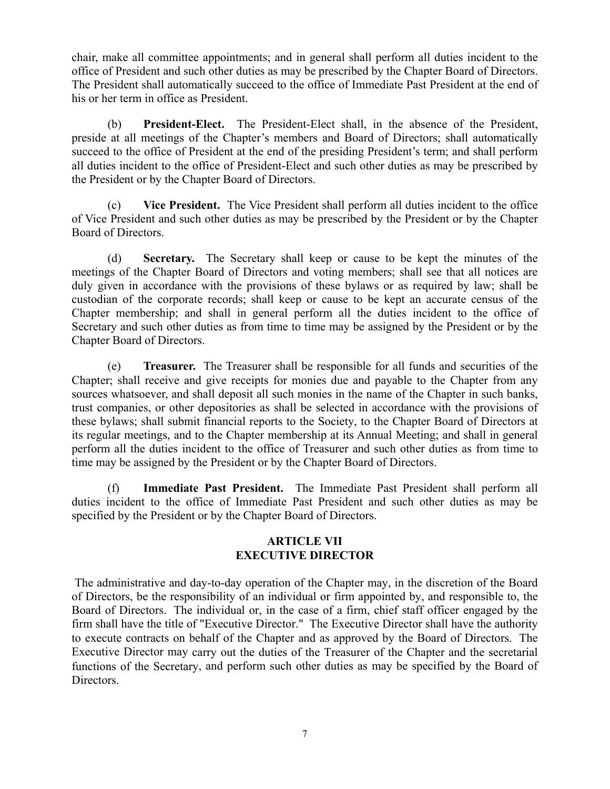chair, make all committee appointments; and in general shall perform all duties incident to the office of President and such other duties as may be prescribed by the Chapter Board of Directors. The President shall automatically succeed to the office of Immediate Past President at the end of his or her term in office as President.

(b) **President-Elect.** The President-Elect shall, in the absence of the President, preside at all meetings of the Chapter's members and Board of Directors; shall automatically succeed to the office of President at the end of the presiding President's term; and shall perform all duties incident to the office of President-Elect and such other duties as may be prescribed by the President or by the Chapter Board of Directors.

(c) **Vice President.** The Vice President shall perform all duties incident to the office of Vice President and such other duties as may be prescribed by the President or by the Chapter Board of Directors.

(d) **Secretary.** The Secretary shall keep or cause to be kept the minutes of the meetings of the Chapter Board of Directors and voting members; shall see that all notices are duly given in accordance with the provisions of these bylaws or as required by law; shall be custodian of the corporate records; shall keep or cause to be kept an accurate census of the Chapter membership; and shall in general perform all the duties incident to the office of Secretary and such other duties as from time to time may be assigned by the President or by the Chapter Board of Directors.

(e) **Treasurer.** The Treasurer shall be responsible for all funds and securities of the Chapter; shall receive and give receipts for monies due and payable to the Chapter from any sources whatsoever, and shall deposit all such monies in the name of the Chapter in such banks, trust companies, or other depositories as shall be selected in accordance with the provisions of these bylaws; shall submit financial reports to the Society, to the Chapter Board of Directors at its regular meetings, and to the Chapter membership at its Annual Meeting; and shall in general perform all the duties incident to the office of Treasurer and such other duties as from time to time may be assigned by the President or by the Chapter Board of Directors.

(f) **Immediate Past President.** The Immediate Past President shall perform all duties incident to the office of Immediate Past President and such other duties as may be specified by the President or by the Chapter Board of Directors.

### **ARTICLE VII EXECUTIVE DIRECTOR**

 The administrative and day-to-day operation of the Chapter may, in the discretion of the Board of Directors, be the responsibility of an individual or firm appointed by, and responsible to, the Board of Directors. The individual or, in the case of a firm, chief staff officer engaged by the firm shall have the title of "Executive Director." The Executive Director shall have the authority to execute contracts on behalf of the Chapter and as approved by the Board of Directors. The Executive Director may carry out the duties of the Treasurer of the Chapter and the secretarial functions of the Secretary, and perform such other duties as may be specified by the Board of Directors.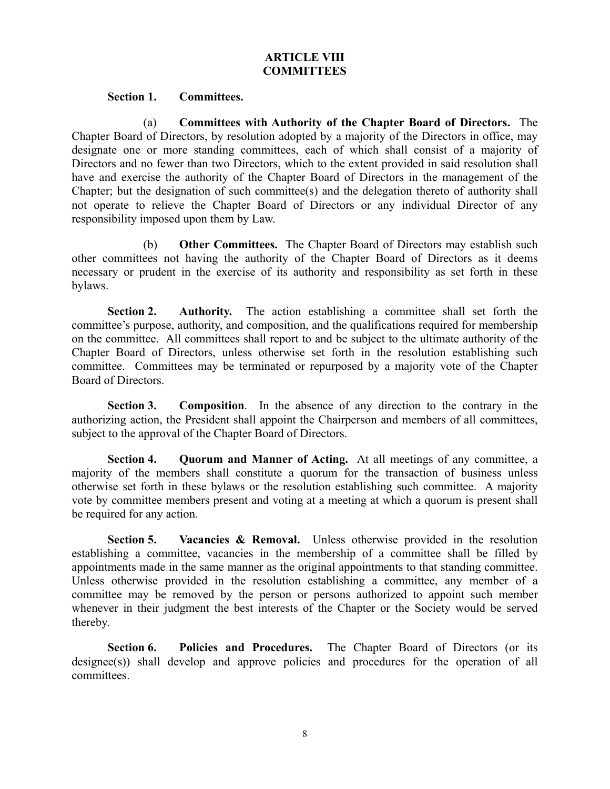# **ARTICLE VIII COMMITTEES**

#### **Section 1. Committees.**

(a) **Committees with Authority of the Chapter Board of Directors.** The Chapter Board of Directors, by resolution adopted by a majority of the Directors in office, may designate one or more standing committees, each of which shall consist of a majority of Directors and no fewer than two Directors, which to the extent provided in said resolution shall have and exercise the authority of the Chapter Board of Directors in the management of the Chapter; but the designation of such committee(s) and the delegation thereto of authority shall not operate to relieve the Chapter Board of Directors or any individual Director of any responsibility imposed upon them by Law.

(b) **Other Committees.** The Chapter Board of Directors may establish such other committees not having the authority of the Chapter Board of Directors as it deems necessary or prudent in the exercise of its authority and responsibility as set forth in these bylaws.

**Section 2. Authority.** The action establishing a committee shall set forth the committee's purpose, authority, and composition, and the qualifications required for membership on the committee. All committees shall report to and be subject to the ultimate authority of the Chapter Board of Directors, unless otherwise set forth in the resolution establishing such committee. Committees may be terminated or repurposed by a majority vote of the Chapter Board of Directors.

**Section 3. Composition**. In the absence of any direction to the contrary in the authorizing action, the President shall appoint the Chairperson and members of all committees, subject to the approval of the Chapter Board of Directors.

**Section 4. Quorum and Manner of Acting.** At all meetings of any committee, a majority of the members shall constitute a quorum for the transaction of business unless otherwise set forth in these bylaws or the resolution establishing such committee. A majority vote by committee members present and voting at a meeting at which a quorum is present shall be required for any action.

**Section 5. Vacancies & Removal.** Unless otherwise provided in the resolution establishing a committee, vacancies in the membership of a committee shall be filled by appointments made in the same manner as the original appointments to that standing committee. Unless otherwise provided in the resolution establishing a committee, any member of a committee may be removed by the person or persons authorized to appoint such member whenever in their judgment the best interests of the Chapter or the Society would be served thereby.

**Section 6. Policies and Procedures.** The Chapter Board of Directors (or its designee(s)) shall develop and approve policies and procedures for the operation of all committees.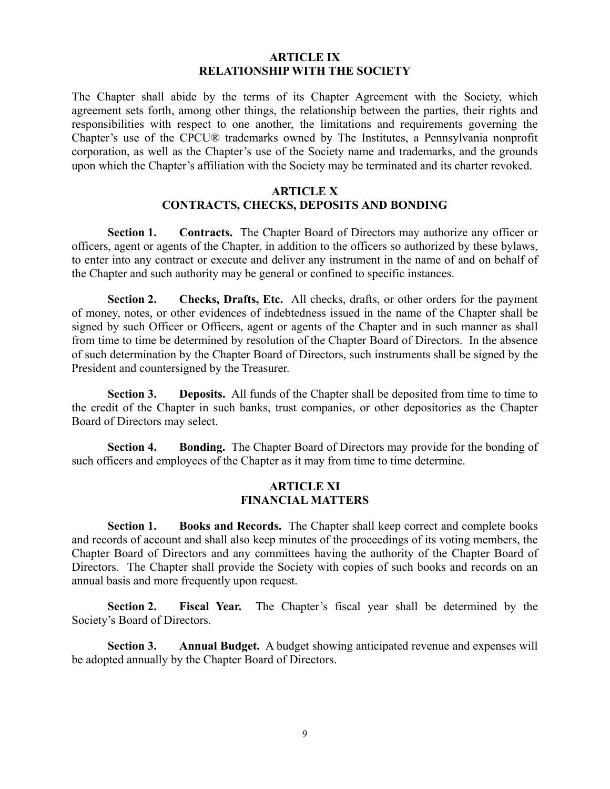#### **ARTICLE IX RELATIONSHIP WITH THE SOCIETY**

The Chapter shall abide by the terms of its Chapter Agreement with the Society, which agreement sets forth, among other things, the relationship between the parties, their rights and responsibilities with respect to one another, the limitations and requirements governing the Chapter's use of the CPCU® trademarks owned by The Institutes, a Pennsylvania nonprofit corporation, as well as the Chapter's use of the Society name and trademarks, and the grounds upon which the Chapter's affiliation with the Society may be terminated and its charter revoked.

### **ARTICLE X CONTRACTS, CHECKS, DEPOSITS AND BONDING**

**Section 1. Contracts.** The Chapter Board of Directors may authorize any officer or officers, agent or agents of the Chapter, in addition to the officers so authorized by these bylaws, to enter into any contract or execute and deliver any instrument in the name of and on behalf of the Chapter and such authority may be general or confined to specific instances.

**Section 2. Checks, Drafts, Etc.** All checks, drafts, or other orders for the payment of money, notes, or other evidences of indebtedness issued in the name of the Chapter shall be signed by such Officer or Officers, agent or agents of the Chapter and in such manner as shall from time to time be determined by resolution of the Chapter Board of Directors. In the absence of such determination by the Chapter Board of Directors, such instruments shall be signed by the President and countersigned by the Treasurer.

**Section 3. Deposits.** All funds of the Chapter shall be deposited from time to time to the credit of the Chapter in such banks, trust companies, or other depositories as the Chapter Board of Directors may select.

**Section 4. Bonding.** The Chapter Board of Directors may provide for the bonding of such officers and employees of the Chapter as it may from time to time determine.

### **ARTICLE XI FINANCIAL MATTERS**

**Section 1. Books and Records.** The Chapter shall keep correct and complete books and records of account and shall also keep minutes of the proceedings of its voting members, the Chapter Board of Directors and any committees having the authority of the Chapter Board of Directors. The Chapter shall provide the Society with copies of such books and records on an annual basis and more frequently upon request.

**Section 2. Fiscal Year.** The Chapter's fiscal year shall be determined by the Society's Board of Directors.

**Section 3. Annual Budget.** A budget showing anticipated revenue and expenses will be adopted annually by the Chapter Board of Directors.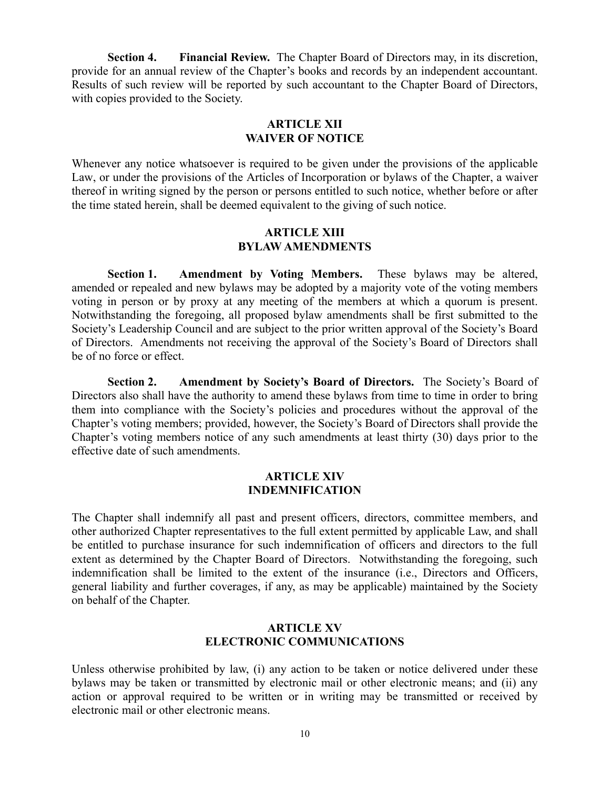**Section 4. Financial Review.** The Chapter Board of Directors may, in its discretion, provide for an annual review of the Chapter's books and records by an independent accountant. Results of such review will be reported by such accountant to the Chapter Board of Directors, with copies provided to the Society.

### **ARTICLE XII WAIVER OF NOTICE**

Whenever any notice whatsoever is required to be given under the provisions of the applicable Law, or under the provisions of the Articles of Incorporation or bylaws of the Chapter, a waiver thereof in writing signed by the person or persons entitled to such notice, whether before or after the time stated herein, shall be deemed equivalent to the giving of such notice.

### **ARTICLE XIII BYLAW AMENDMENTS**

**Section 1. Amendment by Voting Members.** These bylaws may be altered, amended or repealed and new bylaws may be adopted by a majority vote of the voting members voting in person or by proxy at any meeting of the members at which a quorum is present. Notwithstanding the foregoing, all proposed bylaw amendments shall be first submitted to the Society's Leadership Council and are subject to the prior written approval of the Society's Board of Directors. Amendments not receiving the approval of the Society's Board of Directors shall be of no force or effect.

**Section 2. Amendment by Society's Board of Directors.** The Society's Board of Directors also shall have the authority to amend these bylaws from time to time in order to bring them into compliance with the Society's policies and procedures without the approval of the Chapter's voting members; provided, however, the Society's Board of Directors shall provide the Chapter's voting members notice of any such amendments at least thirty (30) days prior to the effective date of such amendments.

### **ARTICLE XIV INDEMNIFICATION**

The Chapter shall indemnify all past and present officers, directors, committee members, and other authorized Chapter representatives to the full extent permitted by applicable Law, and shall be entitled to purchase insurance for such indemnification of officers and directors to the full extent as determined by the Chapter Board of Directors. Notwithstanding the foregoing, such indemnification shall be limited to the extent of the insurance (i.e., Directors and Officers, general liability and further coverages, if any, as may be applicable) maintained by the Society on behalf of the Chapter.

### **ARTICLE XV ELECTRONIC COMMUNICATIONS**

Unless otherwise prohibited by law, (i) any action to be taken or notice delivered under these bylaws may be taken or transmitted by electronic mail or other electronic means; and (ii) any action or approval required to be written or in writing may be transmitted or received by electronic mail or other electronic means.